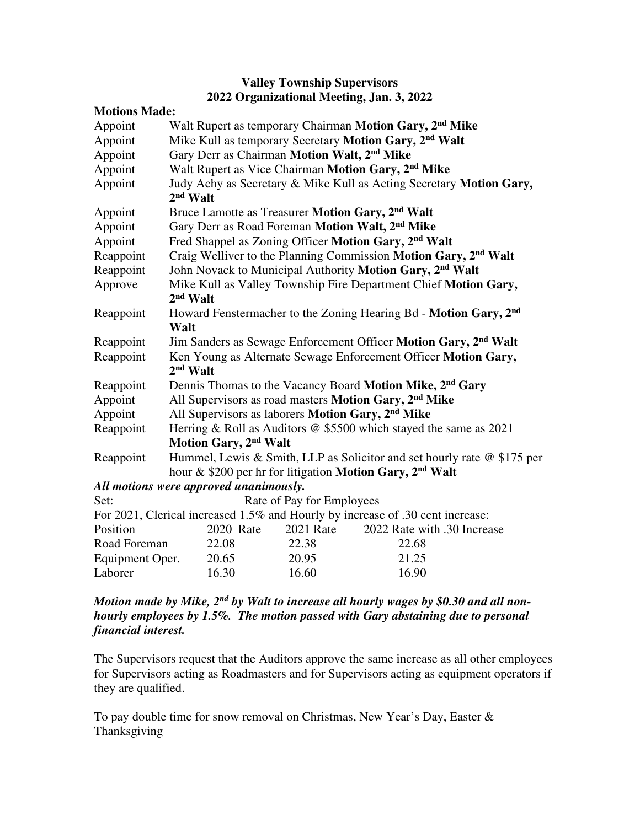| <b>Valley Township Supervisors</b>        |  |
|-------------------------------------------|--|
| 2022 Organizational Meeting, Jan. 3, 2022 |  |

| <b>Motions Made:</b>                                                           |                                                                             |           |                             |  |
|--------------------------------------------------------------------------------|-----------------------------------------------------------------------------|-----------|-----------------------------|--|
| Appoint                                                                        | Walt Rupert as temporary Chairman Motion Gary, 2 <sup>nd</sup> Mike         |           |                             |  |
| Appoint                                                                        | Mike Kull as temporary Secretary Motion Gary, 2 <sup>nd</sup> Walt          |           |                             |  |
| Appoint                                                                        | Gary Derr as Chairman Motion Walt, 2 <sup>nd</sup> Mike                     |           |                             |  |
| Appoint                                                                        | Walt Rupert as Vice Chairman Motion Gary, 2 <sup>nd</sup> Mike              |           |                             |  |
| Appoint                                                                        | Judy Achy as Secretary & Mike Kull as Acting Secretary Motion Gary,         |           |                             |  |
|                                                                                | $2nd$ Walt                                                                  |           |                             |  |
| Appoint                                                                        | Bruce Lamotte as Treasurer Motion Gary, 2 <sup>nd</sup> Walt                |           |                             |  |
| Appoint                                                                        | Gary Derr as Road Foreman Motion Walt, 2 <sup>nd</sup> Mike                 |           |                             |  |
| Appoint                                                                        | Fred Shappel as Zoning Officer Motion Gary, 2 <sup>nd</sup> Walt            |           |                             |  |
| Reappoint                                                                      | Craig Welliver to the Planning Commission Motion Gary, 2 <sup>nd</sup> Walt |           |                             |  |
| Reappoint                                                                      | John Novack to Municipal Authority Motion Gary, 2 <sup>nd</sup> Walt        |           |                             |  |
| Approve                                                                        | Mike Kull as Valley Township Fire Department Chief Motion Gary,             |           |                             |  |
|                                                                                | $2nd$ Walt                                                                  |           |                             |  |
| Reappoint                                                                      | Howard Fenstermacher to the Zoning Hearing Bd - Motion Gary, 2nd            |           |                             |  |
|                                                                                | Walt                                                                        |           |                             |  |
| Reappoint                                                                      | Jim Sanders as Sewage Enforcement Officer Motion Gary, 2 <sup>nd</sup> Walt |           |                             |  |
| Reappoint                                                                      | Ken Young as Alternate Sewage Enforcement Officer Motion Gary,              |           |                             |  |
|                                                                                | $2nd$ Walt                                                                  |           |                             |  |
| Reappoint                                                                      | Dennis Thomas to the Vacancy Board Motion Mike, 2 <sup>nd</sup> Gary        |           |                             |  |
| Appoint                                                                        | All Supervisors as road masters Motion Gary, 2 <sup>nd</sup> Mike           |           |                             |  |
| Appoint                                                                        | All Supervisors as laborers Motion Gary, 2 <sup>nd</sup> Mike               |           |                             |  |
| Reappoint                                                                      | Herring & Roll as Auditors @ \$5500 which stayed the same as 2021           |           |                             |  |
|                                                                                | Motion Gary, 2 <sup>nd</sup> Walt                                           |           |                             |  |
| Reappoint                                                                      | Hummel, Lewis & Smith, LLP as Solicitor and set hourly rate @ \$175 per     |           |                             |  |
| hour & \$200 per hr for litigation Motion Gary, 2nd Walt                       |                                                                             |           |                             |  |
|                                                                                | All motions were approved unanimously.                                      |           |                             |  |
| Rate of Pay for Employees<br>Set:                                              |                                                                             |           |                             |  |
| For 2021, Clerical increased 1.5% and Hourly by increase of .30 cent increase: |                                                                             |           |                             |  |
| Position                                                                       | 2020 Rate                                                                   | 2021 Rate | 2022 Rate with .30 Increase |  |
| Road Foreman                                                                   | 22.08                                                                       | 22.38     | 22.68                       |  |
| Equipment Oper.                                                                | 20.65                                                                       | 20.95     | 21.25                       |  |
| Laborer                                                                        | 16.30                                                                       | 16.60     | 16.90                       |  |

## *Motion made by Mike, 2nd by Walt to increase all hourly wages by \$0.30 and all nonhourly employees by 1.5%. The motion passed with Gary abstaining due to personal financial interest.*

The Supervisors request that the Auditors approve the same increase as all other employees for Supervisors acting as Roadmasters and for Supervisors acting as equipment operators if they are qualified.

To pay double time for snow removal on Christmas, New Year's Day, Easter & Thanksgiving